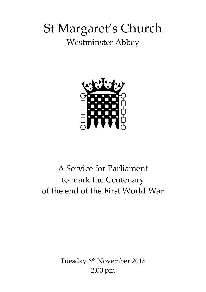# St Margaret's Church Westminster Abbey



## A Service for Parliament to mark the Centenary of the end of the First World War

Tuesday 6<sup>th</sup> November 2018 2.00 pm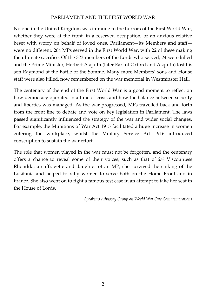#### PARLIAMENT AND THE FIRST WORLD WAR

No one in the United Kingdom was immune to the horrors of the First World War, whether they were at the front, in a reserved occupation, or an anxious relative beset with worry on behalf of loved ones. Parliament—its Members and staff were no different. 264 MPs served in the First World War, with 22 of these making the ultimate sacrifice. Of the 323 members of the Lords who served, 24 were killed and the Prime Minister, Herbert Asquith (later Earl of Oxford and Asquith) lost his son Raymond at the Battle of the Somme. Many more Members' sons and House staff were also killed, now remembered on the war memorial in Westminster Hall.

The centenary of the end of the First World War is a good moment to reflect on how democracy operated in a time of crisis and how the balance between security and liberties was managed. As the war progressed, MPs travelled back and forth from the front line to debate and vote on key legislation in Parliament. The laws passed significantly influenced the strategy of the war and wider social changes. For example, the Munitions of War Act 1915 facilitated a huge increase in women entering the workplace, whilst the Military Service Act 1916 introduced conscription to sustain the war effort.

The role that women played in the war must not be forgotten, and the centenary offers a chance to reveal some of their voices, such as that of 2nd Viscountess Rhondda: a suffragette and daughter of an MP, she survived the sinking of the Lusitania and helped to rally women to serve both on the Home Front and in France. She also went on to fight a famous test case in an attempt to take her seat in the House of Lords.

*Speaker's Advisory Group on World War One Commemorations*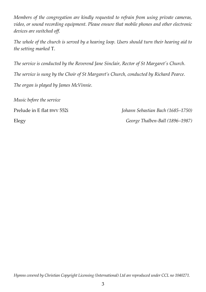*Members of the congregation are kindly requested to refrain from using private cameras, video, or sound recording equipment. Please ensure that mobile phones and other electronic devices are switched off.*

*The whole of the church is served by a hearing loop. Users should turn their hearing aid to the setting marked* T.

*The service is conducted by the Reverend Jane Sinclair, Rector of St Margaret's Church.*

*The service is sung by the Choir of St Margaret's Church, conducted by Richard Pearce.*

*The organ is played by James McVinnie.*

*Music before the service*

Prelude in E flat BWV 552i *Johann Sebastian Bach (1685–1750)* Elegy *George Thalben-Ball (1896–1987)*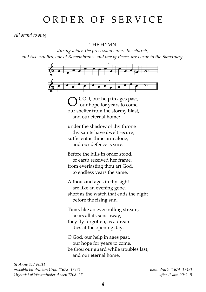## ORDER OF SERVICE

*All stand to sing*

THE HYMN

*during which the procession enters the church, and two candles, one of Remembrance and one of Peace, are borne to the Sanctuary.*



GOD, our help in ages past, our hope for years to come, our shelter from the stormy blast, and our eternal home; O

under the shadow of thy throne thy saints have dwelt secure; sufficient is thine arm alone, and our defence is sure.

Before the hills in order stood, or earth received her frame, from everlasting thou art God, to endless years the same.

A thousand ages in thy sight are like an evening gone, short as the watch that ends the night before the rising sun.

Time, like an ever-rolling stream, bears all its sons away; they fly forgotten, as a dream dies at the opening day.

O God, our help in ages past, our hope for years to come, be thou our guard while troubles last, and our eternal home.

*St Anne 417 NEH probably by William Croft (1678–1727) Isaac Watts (1674–1748) Organist of Westminster Abbey 1708–27 after Psalm 90: 1–5*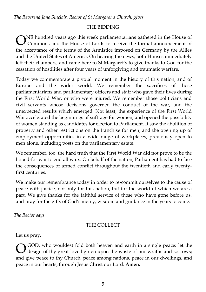*The Reverend Jane Sinclair, Rector of St Margaret's Church, gives*

## THE BIDDING

NE hundred years ago this week parliamentarians gathered in the House of Commons and the House of Lords to receive the formal announcement of the acceptance of the terms of the Armistice imposed on Germany by the Allies and the United States of America. On hearing the news, both Houses immediately left their chambers, and came here to St Margaret's to give thanks to God for the cessation of hostilities after four years of unforgiving and traumatic warfare. O

Today we commemorate a pivotal moment in the history of this nation, and of Europe and the wider world. We remember the sacrifices of those parliamentarians and parliamentary officers and staff who gave their lives during the First World War, or who were injured. We remember those politicians and civil servants whose decisions governed the conduct of the war, and the unexpected results which emerged. Not least, the experience of the First World War accelerated the beginnings of suffrage for women, and opened the possibility of women standing as candidates for election to Parliament. It saw the abolition of property and other restrictions on the franchise for men; and the opening up of employment opportunities in a wide range of workplaces, previously open to men alone, including posts on the parliamentary estate.

We remember, too, the hard truth that the First World War did not prove to be the hoped-for war to end all wars. On behalf of the nation, Parliament has had to face the consequences of armed conflict throughout the twentieth and early twentyfirst centuries.

We make our remembrance today in order to re-commit ourselves to the cause of peace with justice, not only for this nation, but for the world of which we are a part. We give thanks for the faithful service of those who have gone before us, and pray for the gifts of God's mercy, wisdom and guidance in the years to come.

*The Rector says*

## THE COLLECT

Let us pray.

GOD, who wouldest fold both heaven and earth in a single peace: let the design of thy great love lighten upon the waste of our wraths and sorrows; and give peace to thy Church, peace among nations, peace in our dwellings, and peace in our hearts; through Jesus Christ our Lord. **Amen.** O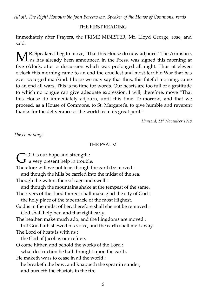*All sit. The Right Honourable John Bercow MP, Speaker of the House of Commons, reads*

#### THE FIRST READING

Immediately after Prayers, the PRIME MINISTER, Mr. Lloyd George, rose, and said:

R. Speaker, I beg to move, 'That this House do now adjourn.' The Armistice,  $\mathbf{M}^{\text{R. Speaker, I beg to move, 'That this House do now adjournal.' The Armistice, as has already been announced in the Press, was signed this morning at the data.$ five o'clock, after a discussion which was prolonged all night. Thus at eleven o'clock this morning came to an end the cruellest and most terrible War that has ever scourged mankind. I hope we may say that thus, this fateful morning, came to an end all wars. This is no time for words. Our hearts are too full of a gratitude to which no tongue can give adequate expression. I will, therefore, move "That this House do immediately adjourn, until this time To-morrow, and that we proceed, as a House of Commons, to St. Margaret's, to give humble and reverent thanks for the deliverance of the world from its great peril."

*Hansard, 11th November 1918*

*The choir sings*

#### THE PSALM

 $\bigcirc$ OD is our hope and strength :

 $\mathbf{C}^{\text{OD}}$  is our hope and strength :<br>a very present help in trouble.

Therefore will we not fear, though the earth be moved :

and though the hills be carried into the midst of the sea.

Though the waters thereof rage and swell :

and though the mountains shake at the tempest of the same.

The rivers of the flood thereof shall make glad the city of God :

the holy place of the tabernacle of the most Highest.

God is in the midst of her, therefore shall she not be removed : God shall help her, and that right early.

The heathen make much ado, and the kingdoms are moved :

but God hath shewed his voice, and the earth shall melt away.

The Lord of hosts is with us :

the God of Jacob is our refuge.

O come hither, and behold the works of the Lord : what destruction he hath brought upon the earth.

He maketh wars to cease in all the world :

 he breaketh the bow, and knappeth the spear in sunder, and burneth the chariots in the fire.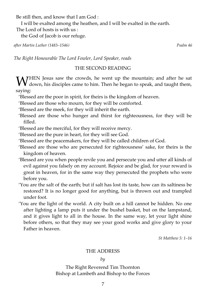Be still then, and know that I am God :

I will be exalted among the heathen, and I will be exalted in the earth.

The Lord of hosts is with us :

the God of Jacob is our refuge.

*after Martin Luther (1483–1546) Psalm 46*

*The Right Honourable The Lord Fowler, Lord Speaker, reads*

## THE SECOND READING

HEN Jesus saw the crowds, he went up the mountain; and after he sat WHEN Jesus saw the crowds, he went up the mountain; and after he sat down, his disciples came to him. Then he began to speak, and taught them, saying:

'Blessed are the poor in spirit, for theirs is the kingdom of heaven.

'Blessed are those who mourn, for they will be comforted.

'Blessed are the meek, for they will inherit the earth.

'Blessed are those who hunger and thirst for righteousness, for they will be filled.

'Blessed are the merciful, for they will receive mercy.

'Blessed are the pure in heart, for they will see God.

- 'Blessed are the peacemakers, for they will be called children of God.
- 'Blessed are those who are persecuted for righteousness' sake, for theirs is the kingdom of heaven.
- 'Blessed are you when people revile you and persecute you and utter all kinds of evil against you falsely on my account. Rejoice and be glad, for your reward is great in heaven, for in the same way they persecuted the prophets who were before you.
- 'You are the salt of the earth; but if salt has lost its taste, how can its saltiness be restored? It is no longer good for anything, but is thrown out and trampled under foot.
- 'You are the light of the world. A city built on a hill cannot be hidden. No one after lighting a lamp puts it under the bushel basket, but on the lampstand, and it gives light to all in the house. In the same way, let your light shine before others, so that they may see your good works and give glory to your Father in heaven.

*St Matthew 5: 1–16*

## THE ADDRESS

*by*

The Right Reverend Tim Thornton Bishop at Lambeth and Bishop to the Forces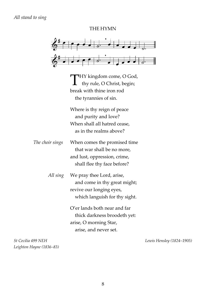THE HYMN



HY kingdom come, O God, thy rule, O Christ, begin; break with thine iron rod the tyrannies of sin. T

Where is thy reign of peace and purity and love? When shall all hatred cease, as in the realms above?

*The choir sings* When comes the promised time that war shall be no more, and lust, oppression, crime, shall flee thy face before?

> *All sing* We pray thee Lord, arise, and come in thy great might; revive our longing eyes, which languish for thy sight.

> > O'er lands both near and far thick darkness broodeth yet: arise, O morning Star, arise, and never set.

*Leighton Hayne (1836–83)*

*St Cecilia 499 NEH Lewis Hensley (1824–1905)*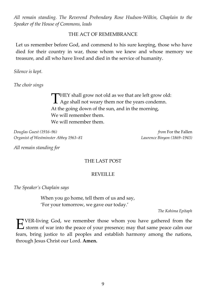*All remain standing. The Reverend Prebendary Rose Hudson-Wilkin, Chaplain to the Speaker of the House of Commons, leads*

#### THE ACT OF REMEMBRANCE

Let us remember before God, and commend to his sure keeping, those who have died for their country in war, those whom we knew and whose memory we treasure, and all who have lived and died in the service of humanity.

*Silence is kept.*

*The choir sings*

THEY shall grow not old as we that are left grow old:<br>Age shall not weary them nor the years condemn. **A** Age shall not weary them nor the years condemn. At the going down of the sun, and in the morning, We will remember them. We will remember them.

*Douglas Guest (1916–96) from* For the Fallen *Organist of Westminster Abbey 1963–81 Laurence Binyon (1869–1943)*

*All remain standing for*

#### THE LAST POST

#### REVEILLE

*The Speaker's Chaplain says*

When you go home, tell them of us and say, 'For your tomorrow, we gave our today.'

*The Kohima Epitaph*

VER-living God, we remember those whom you have gathered from the EVER-living God, we remember those whom you have gathered from the storm of war into the peace of your presence; may that same peace calm our fears, bring justice to all peoples and establish harmony among the nations, through Jesus Christ our Lord. **Amen.**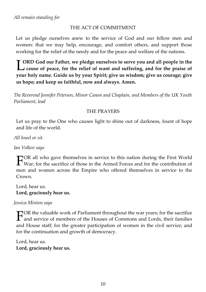## THE ACT OF COMMITMENT

Let us pledge ourselves anew to the service of God and our fellow men and women: that we may help, encourage, and comfort others, and support those working for the relief of the needy and for the peace and welfare of the nations.

**ORD God our Father, we pledge ourselves to serve you and all people in the CORD** God our Father, we pledge ourselves to serve you and all people in the cause of peace, for the relief of want and suffering, and for the praise of **your holy name. Guide us by your Spirit; give us wisdom; give us courage; give us hope; and keep us faithful, now and always. Amen.**

*The Reverend Jennifer Petersen, Minor Canon and Chaplain, and Members of the UK Youth Parliament, lead*

## THE PRAYERS

Let us pray to the One who causes light to shine out of darkness, fount of hope and life of the world.

*All kneel or sit.*

*Ian Volkov says*

OR all who gave themselves in service to this nation during the First World FOR all who gave themselves in service to this nation during the First World War; for the sacrifice of those in the Armed Forces and for the contribution of men and women across the Empire who offered themselves in service to the Crown.

Lord, hear us. **Lord, graciously hear us.**

*Jessica Minton says*

TOR the valuable work of Parliament throughout the war years; for the sacrifice  $\Gamma$  OR the valuable work of Parliament throughout the war years; for the sacrifice and service of members of the Houses of Commons and Lords, their families and House staff; for the greater participation of women in the civil service; and for the continuation and growth of democracy.

Lord, hear us. **Lord, graciously hear us.**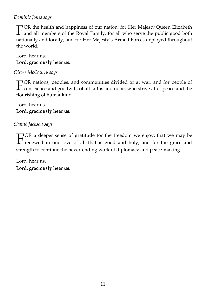## *Dominic Jones says*

OR the health and happiness of our nation; for Her Majesty Queen Elizabeth FOR the health and happiness of our nation; for Her Majesty Queen Elizabeth<br>and all members of the Royal Family; for all who serve the public good both<br>in the delivery of the Majestic Angles Indian and the delivery nationally and locally, and for Her Majesty's Armed Forces deployed throughout the world.

Lord, hear us. **Lord, graciously hear us.**

*Oliver McCourty says*

OR nations, peoples, and communities divided or at war, and for people of  $\Gamma$ <sup>OR</sup> nations, peoples, and communities divided or at war, and for people of conscience and goodwill, of all faiths and none, who strive after peace and the flourishing of humankind.

Lord, hear us. **Lord, graciously hear us.**

*Shanté Jackson says*

OR a deeper sense of gratitude for the freedom we enjoy; that we may be renewed in our love of all that is good and holy; and for the grace and strength to continue the never-ending work of diplomacy and peace-making. F

Lord, hear us. **Lord, graciously hear us.**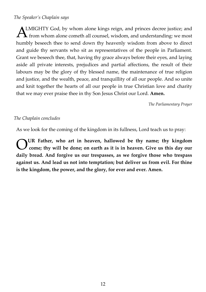#### *The Speaker's Chaplain says*

LMIGHTY God, by whom alone kings reign, and princes decree justice; and from whom alone cometh all counsel, wisdom, and understanding: we most humbly beseech thee to send down thy heavenly wisdom from above to direct and guide thy servants who sit as representatives of the people in Parliament. Grant we beseech thee, that, having thy grace always before their eyes, and laying aside all private interests, prejudices and partial affections, the result of their labours may be the glory of thy blessed name, the maintenance of true religion and justice, and the wealth, peace, and tranquillity of all our people. And so unite and knit together the hearts of all our people in true Christian love and charity that we may ever praise thee in thy Son Jesus Christ our Lord. **Amen.**  $\mathbf{A}^{\!\scriptscriptstyle L}_{\!\scriptscriptstyle\diagup}$ 

*The Parliamentary Prayer*

#### *The Chaplain concludes*

As we look for the coming of the kingdom in its fullness, Lord teach us to pray:

**UR Father, who art in heaven, hallowed be thy name; thy kingdom come; thy will be done; on earth as it is in heaven. Give us this day our daily bread. And forgive us our trespasses, as we forgive those who trespass against us. And lead us not into temptation; but deliver us from evil. For thine is the kingdom, the power, and the glory, for ever and ever. Amen.** O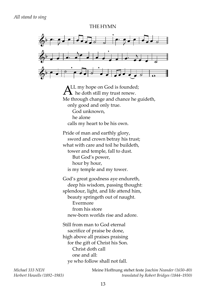#### THE HYMN



 $A<sup>LL</sup>$  my hope on God is founded;<br>M is doth still my trust renew.  $\blacktriangle$  he doth still my trust renew. Me through change and chance he guideth, only good and only true. God unknown, he alone calls my heart to be his own. Pride of man and earthly glory, sword and crown betray his trust; what with care and toil he buildeth, tower and temple, fall to dust. But God's power, hour by hour, is my temple and my tower. God's great goodness aye endureth, deep his wisdom, passing thought: splendour, light, and life attend him,

 beauty springeth out of naught. Evermore from his store new-born worlds rise and adore.

Still from man to God eternal sacrifice of praise be done, high above all praises praising for the gift of Christ his Son. Christ doth call one and all: ye who follow shall not fall.

*Michael 333 NEH* Meine Hoffnung stehet feste *Joachim Neander (1650–80) Herbert Howells (1892–1983) translated by Robert Bridges (1844–1930)*